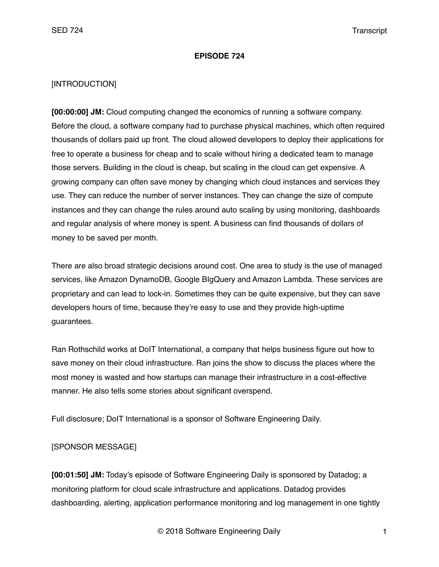### **EPISODE 724**

## [INTRODUCTION]

**[00:00:00] JM:** Cloud computing changed the economics of running a software company. Before the cloud, a software company had to purchase physical machines, which often required thousands of dollars paid up front. The cloud allowed developers to deploy their applications for free to operate a business for cheap and to scale without hiring a dedicated team to manage those servers. Building in the cloud is cheap, but scaling in the cloud can get expensive. A growing company can often save money by changing which cloud instances and services they use. They can reduce the number of server instances. They can change the size of compute instances and they can change the rules around auto scaling by using monitoring, dashboards and regular analysis of where money is spent. A business can find thousands of dollars of money to be saved per month.

There are also broad strategic decisions around cost. One area to study is the use of managed services, like Amazon DynamoDB, Google BIgQuery and Amazon Lambda. These services are proprietary and can lead to lock-in. Sometimes they can be quite expensive, but they can save developers hours of time, because they're easy to use and they provide high-uptime guarantees.

Ran Rothschild works at DoIT International, a company that helps business figure out how to save money on their cloud infrastructure. Ran joins the show to discuss the places where the most money is wasted and how startups can manage their infrastructure in a cost-effective manner. He also tells some stories about significant overspend.

Full disclosure; DoIT International is a sponsor of Software Engineering Daily.

## [SPONSOR MESSAGE]

**[00:01:50] JM:** Today's episode of Software Engineering Daily is sponsored by Datadog; a monitoring platform for cloud scale infrastructure and applications. Datadog provides dashboarding, alerting, application performance monitoring and log management in one tightly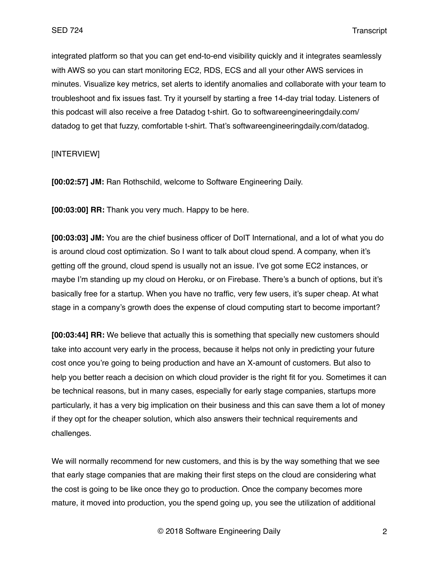integrated platform so that you can get end-to-end visibility quickly and it integrates seamlessly with AWS so you can start monitoring EC2, RDS, ECS and all your other AWS services in minutes. Visualize key metrics, set alerts to identify anomalies and collaborate with your team to troubleshoot and fix issues fast. Try it yourself by starting a free 14-day trial today. Listeners of this podcast will also receive a free Datadog t-shirt. Go to softwareengineeringdaily.com/ datadog to get that fuzzy, comfortable t-shirt. That's softwareengineeringdaily.com/datadog.

## [INTERVIEW]

**[00:02:57] JM:** Ran Rothschild, welcome to Software Engineering Daily.

**[00:03:00] RR:** Thank you very much. Happy to be here.

**[00:03:03] JM:** You are the chief business officer of DoIT International, and a lot of what you do is around cloud cost optimization. So I want to talk about cloud spend. A company, when it's getting off the ground, cloud spend is usually not an issue. I've got some EC2 instances, or maybe I'm standing up my cloud on Heroku, or on Firebase. There's a bunch of options, but it's basically free for a startup. When you have no traffic, very few users, it's super cheap. At what stage in a company's growth does the expense of cloud computing start to become important?

**[00:03:44] RR:** We believe that actually this is something that specially new customers should take into account very early in the process, because it helps not only in predicting your future cost once you're going to being production and have an X-amount of customers. But also to help you better reach a decision on which cloud provider is the right fit for you. Sometimes it can be technical reasons, but in many cases, especially for early stage companies, startups more particularly, it has a very big implication on their business and this can save them a lot of money if they opt for the cheaper solution, which also answers their technical requirements and challenges.

We will normally recommend for new customers, and this is by the way something that we see that early stage companies that are making their first steps on the cloud are considering what the cost is going to be like once they go to production. Once the company becomes more mature, it moved into production, you the spend going up, you see the utilization of additional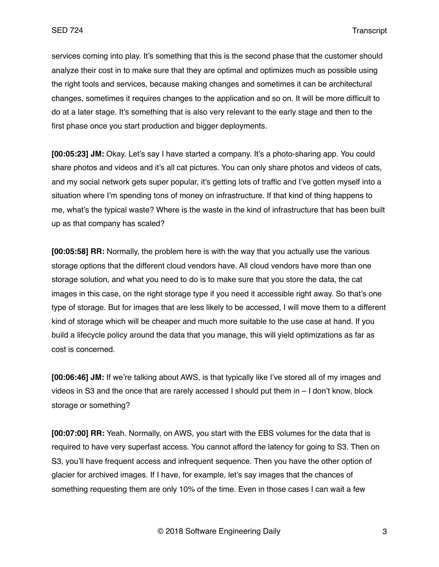services coming into play. It's something that this is the second phase that the customer should analyze their cost in to make sure that they are optimal and optimizes much as possible using the right tools and services, because making changes and sometimes it can be architectural changes, sometimes it requires changes to the application and so on. It will be more difficult to do at a later stage. It's something that is also very relevant to the early stage and then to the first phase once you start production and bigger deployments.

**[00:05:23] JM:** Okay. Let's say I have started a company. It's a photo-sharing app. You could share photos and videos and it's all cat pictures. You can only share photos and videos of cats, and my social network gets super popular, it's getting lots of traffic and I've gotten myself into a situation where I'm spending tons of money on infrastructure. If that kind of thing happens to me, what's the typical waste? Where is the waste in the kind of infrastructure that has been built up as that company has scaled?

**[00:05:58] RR:** Normally, the problem here is with the way that you actually use the various storage options that the different cloud vendors have. All cloud vendors have more than one storage solution, and what you need to do is to make sure that you store the data, the cat images in this case, on the right storage type if you need it accessible right away. So that's one type of storage. But for images that are less likely to be accessed, I will move them to a different kind of storage which will be cheaper and much more suitable to the use case at hand. If you build a lifecycle policy around the data that you manage, this will yield optimizations as far as cost is concerned.

**[00:06:46] JM:** If we're talking about AWS, is that typically like I've stored all of my images and videos in S3 and the once that are rarely accessed I should put them in – I don't know, block storage or something?

**[00:07:00] RR:** Yeah. Normally, on AWS, you start with the EBS volumes for the data that is required to have very superfast access. You cannot afford the latency for going to S3. Then on S3, you'll have frequent access and infrequent sequence. Then you have the other option of glacier for archived images. If I have, for example, let's say images that the chances of something requesting them are only 10% of the time. Even in those cases I can wait a few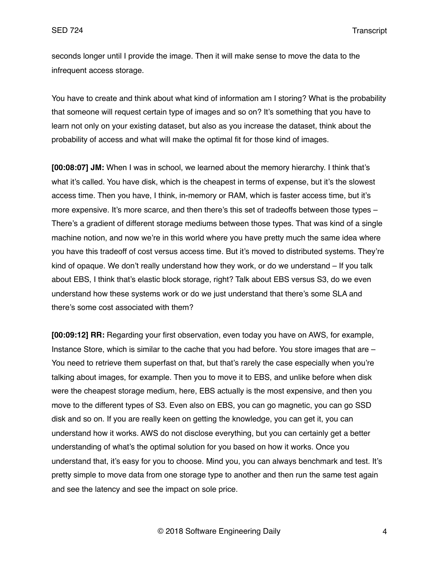seconds longer until I provide the image. Then it will make sense to move the data to the infrequent access storage.

You have to create and think about what kind of information am I storing? What is the probability that someone will request certain type of images and so on? It's something that you have to learn not only on your existing dataset, but also as you increase the dataset, think about the probability of access and what will make the optimal fit for those kind of images.

**[00:08:07] JM:** When I was in school, we learned about the memory hierarchy. I think that's what it's called. You have disk, which is the cheapest in terms of expense, but it's the slowest access time. Then you have, I think, in-memory or RAM, which is faster access time, but it's more expensive. It's more scarce, and then there's this set of tradeoffs between those types – There's a gradient of different storage mediums between those types. That was kind of a single machine notion, and now we're in this world where you have pretty much the same idea where you have this tradeoff of cost versus access time. But it's moved to distributed systems. They're kind of opaque. We don't really understand how they work, or do we understand – If you talk about EBS, I think that's elastic block storage, right? Talk about EBS versus S3, do we even understand how these systems work or do we just understand that there's some SLA and there's some cost associated with them?

**[00:09:12] RR:** Regarding your first observation, even today you have on AWS, for example, Instance Store, which is similar to the cache that you had before. You store images that are – You need to retrieve them superfast on that, but that's rarely the case especially when you're talking about images, for example. Then you to move it to EBS, and unlike before when disk were the cheapest storage medium, here, EBS actually is the most expensive, and then you move to the different types of S3. Even also on EBS, you can go magnetic, you can go SSD disk and so on. If you are really keen on getting the knowledge, you can get it, you can understand how it works. AWS do not disclose everything, but you can certainly get a better understanding of what's the optimal solution for you based on how it works. Once you understand that, it's easy for you to choose. Mind you, you can always benchmark and test. It's pretty simple to move data from one storage type to another and then run the same test again and see the latency and see the impact on sole price.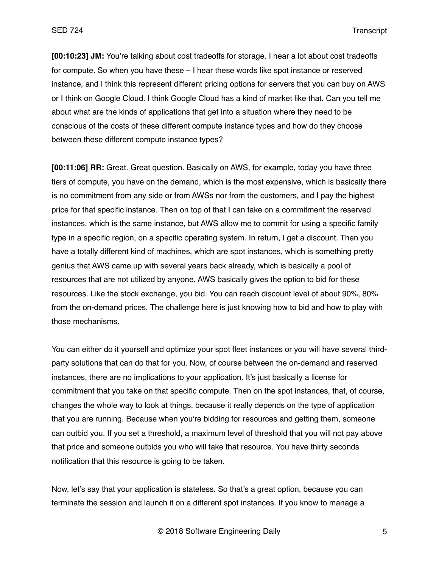**[00:10:23] JM:** You're talking about cost tradeoffs for storage. I hear a lot about cost tradeoffs for compute. So when you have these – I hear these words like spot instance or reserved instance, and I think this represent different pricing options for servers that you can buy on AWS or I think on Google Cloud. I think Google Cloud has a kind of market like that. Can you tell me about what are the kinds of applications that get into a situation where they need to be conscious of the costs of these different compute instance types and how do they choose between these different compute instance types?

**[00:11:06] RR:** Great. Great question. Basically on AWS, for example, today you have three tiers of compute, you have on the demand, which is the most expensive, which is basically there is no commitment from any side or from AWSs nor from the customers, and I pay the highest price for that specific instance. Then on top of that I can take on a commitment the reserved instances, which is the same instance, but AWS allow me to commit for using a specific family type in a specific region, on a specific operating system. In return, I get a discount. Then you have a totally different kind of machines, which are spot instances, which is something pretty genius that AWS came up with several years back already, which is basically a pool of resources that are not utilized by anyone. AWS basically gives the option to bid for these resources. Like the stock exchange, you bid. You can reach discount level of about 90%, 80% from the on-demand prices. The challenge here is just knowing how to bid and how to play with those mechanisms.

You can either do it yourself and optimize your spot fleet instances or you will have several thirdparty solutions that can do that for you. Now, of course between the on-demand and reserved instances, there are no implications to your application. It's just basically a license for commitment that you take on that specific compute. Then on the spot instances, that, of course, changes the whole way to look at things, because it really depends on the type of application that you are running. Because when you're bidding for resources and getting them, someone can outbid you. If you set a threshold, a maximum level of threshold that you will not pay above that price and someone outbids you who will take that resource. You have thirty seconds notification that this resource is going to be taken.

Now, let's say that your application is stateless. So that's a great option, because you can terminate the session and launch it on a different spot instances. If you know to manage a

© 2018 Software Engineering Daily 5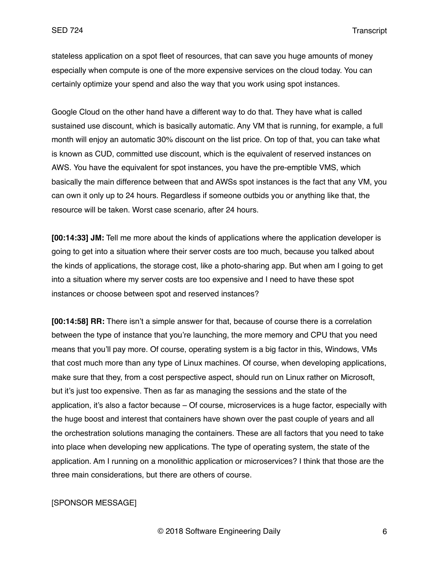stateless application on a spot fleet of resources, that can save you huge amounts of money especially when compute is one of the more expensive services on the cloud today. You can certainly optimize your spend and also the way that you work using spot instances.

Google Cloud on the other hand have a different way to do that. They have what is called sustained use discount, which is basically automatic. Any VM that is running, for example, a full month will enjoy an automatic 30% discount on the list price. On top of that, you can take what is known as CUD, committed use discount, which is the equivalent of reserved instances on AWS. You have the equivalent for spot instances, you have the pre-emptible VMS, which basically the main difference between that and AWSs spot instances is the fact that any VM, you can own it only up to 24 hours. Regardless if someone outbids you or anything like that, the resource will be taken. Worst case scenario, after 24 hours.

**[00:14:33] JM:** Tell me more about the kinds of applications where the application developer is going to get into a situation where their server costs are too much, because you talked about the kinds of applications, the storage cost, like a photo-sharing app. But when am I going to get into a situation where my server costs are too expensive and I need to have these spot instances or choose between spot and reserved instances?

**[00:14:58] RR:** There isn't a simple answer for that, because of course there is a correlation between the type of instance that you're launching, the more memory and CPU that you need means that you'll pay more. Of course, operating system is a big factor in this, Windows, VMs that cost much more than any type of Linux machines. Of course, when developing applications, make sure that they, from a cost perspective aspect, should run on Linux rather on Microsoft, but it's just too expensive. Then as far as managing the sessions and the state of the application, it's also a factor because – Of course, microservices is a huge factor, especially with the huge boost and interest that containers have shown over the past couple of years and all the orchestration solutions managing the containers. These are all factors that you need to take into place when developing new applications. The type of operating system, the state of the application. Am I running on a monolithic application or microservices? I think that those are the three main considerations, but there are others of course.

### [SPONSOR MESSAGE]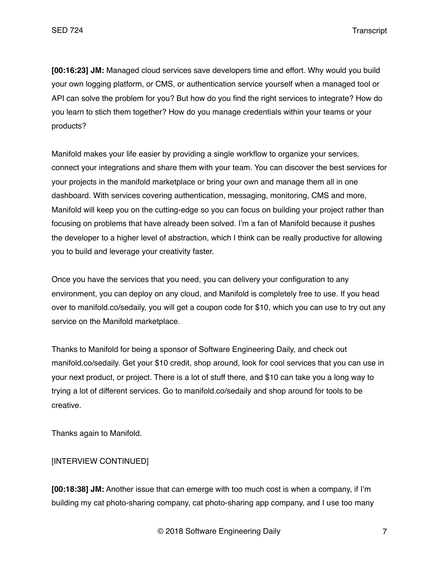**[00:16:23] JM:** Managed cloud services save developers time and effort. Why would you build your own logging platform, or CMS, or authentication service yourself when a managed tool or API can solve the problem for you? But how do you find the right services to integrate? How do you learn to stich them together? How do you manage credentials within your teams or your products?

Manifold makes your life easier by providing a single workflow to organize your services, connect your integrations and share them with your team. You can discover the best services for your projects in the manifold marketplace or bring your own and manage them all in one dashboard. With services covering authentication, messaging, monitoring, CMS and more, Manifold will keep you on the cutting-edge so you can focus on building your project rather than focusing on problems that have already been solved. I'm a fan of Manifold because it pushes the developer to a higher level of abstraction, which I think can be really productive for allowing you to build and leverage your creativity faster.

Once you have the services that you need, you can delivery your configuration to any environment, you can deploy on any cloud, and Manifold is completely free to use. If you head over to manifold.co/sedaily, you will get a coupon code for \$10, which you can use to try out any service on the Manifold marketplace.

Thanks to Manifold for being a sponsor of Software Engineering Daily, and check out manifold.co/sedaily. Get your \$10 credit, shop around, look for cool services that you can use in your next product, or project. There is a lot of stuff there, and \$10 can take you a long way to trying a lot of different services. Go to manifold.co/sedaily and shop around for tools to be creative.

Thanks again to Manifold.

## [INTERVIEW CONTINUED]

**[00:18:38] JM:** Another issue that can emerge with too much cost is when a company, if I'm building my cat photo-sharing company, cat photo-sharing app company, and I use too many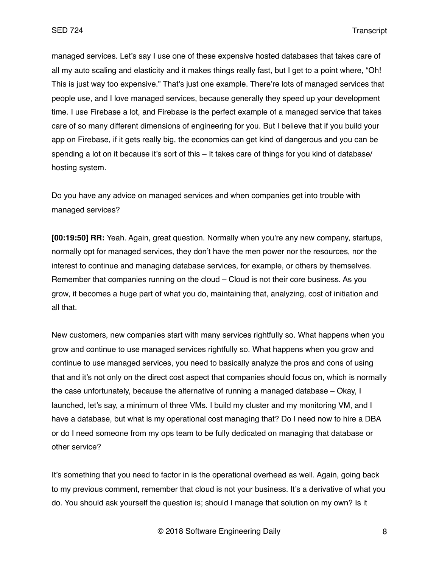managed services. Let's say I use one of these expensive hosted databases that takes care of all my auto scaling and elasticity and it makes things really fast, but I get to a point where, "Oh! This is just way too expensive." That's just one example. There're lots of managed services that people use, and I love managed services, because generally they speed up your development time. I use Firebase a lot, and Firebase is the perfect example of a managed service that takes care of so many different dimensions of engineering for you. But I believe that if you build your app on Firebase, if it gets really big, the economics can get kind of dangerous and you can be spending a lot on it because it's sort of this – It takes care of things for you kind of database/ hosting system.

Do you have any advice on managed services and when companies get into trouble with managed services?

**[00:19:50] RR:** Yeah. Again, great question. Normally when you're any new company, startups, normally opt for managed services, they don't have the men power nor the resources, nor the interest to continue and managing database services, for example, or others by themselves. Remember that companies running on the cloud – Cloud is not their core business. As you grow, it becomes a huge part of what you do, maintaining that, analyzing, cost of initiation and all that.

New customers, new companies start with many services rightfully so. What happens when you grow and continue to use managed services rightfully so. What happens when you grow and continue to use managed services, you need to basically analyze the pros and cons of using that and it's not only on the direct cost aspect that companies should focus on, which is normally the case unfortunately, because the alternative of running a managed database – Okay, I launched, let's say, a minimum of three VMs. I build my cluster and my monitoring VM, and I have a database, but what is my operational cost managing that? Do I need now to hire a DBA or do I need someone from my ops team to be fully dedicated on managing that database or other service?

It's something that you need to factor in is the operational overhead as well. Again, going back to my previous comment, remember that cloud is not your business. It's a derivative of what you do. You should ask yourself the question is; should I manage that solution on my own? Is it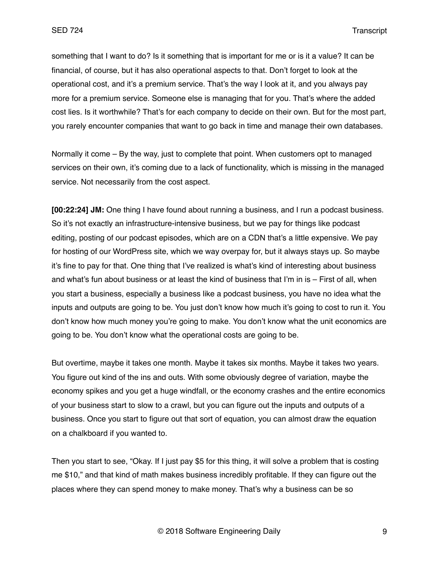something that I want to do? Is it something that is important for me or is it a value? It can be financial, of course, but it has also operational aspects to that. Don't forget to look at the operational cost, and it's a premium service. That's the way I look at it, and you always pay more for a premium service. Someone else is managing that for you. That's where the added cost lies. Is it worthwhile? That's for each company to decide on their own. But for the most part, you rarely encounter companies that want to go back in time and manage their own databases.

Normally it come – By the way, just to complete that point. When customers opt to managed services on their own, it's coming due to a lack of functionality, which is missing in the managed service. Not necessarily from the cost aspect.

**[00:22:24] JM:** One thing I have found about running a business, and I run a podcast business. So it's not exactly an infrastructure-intensive business, but we pay for things like podcast editing, posting of our podcast episodes, which are on a CDN that's a little expensive. We pay for hosting of our WordPress site, which we way overpay for, but it always stays up. So maybe it's fine to pay for that. One thing that I've realized is what's kind of interesting about business and what's fun about business or at least the kind of business that I'm in is – First of all, when you start a business, especially a business like a podcast business, you have no idea what the inputs and outputs are going to be. You just don't know how much it's going to cost to run it. You don't know how much money you're going to make. You don't know what the unit economics are going to be. You don't know what the operational costs are going to be.

But overtime, maybe it takes one month. Maybe it takes six months. Maybe it takes two years. You figure out kind of the ins and outs. With some obviously degree of variation, maybe the economy spikes and you get a huge windfall, or the economy crashes and the entire economics of your business start to slow to a crawl, but you can figure out the inputs and outputs of a business. Once you start to figure out that sort of equation, you can almost draw the equation on a chalkboard if you wanted to.

Then you start to see, "Okay. If I just pay \$5 for this thing, it will solve a problem that is costing me \$10," and that kind of math makes business incredibly profitable. If they can figure out the places where they can spend money to make money. That's why a business can be so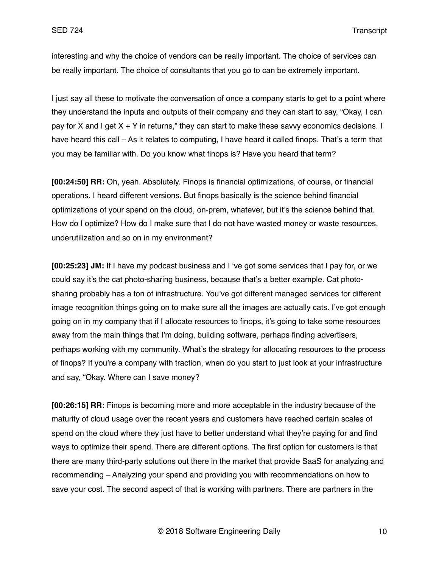interesting and why the choice of vendors can be really important. The choice of services can be really important. The choice of consultants that you go to can be extremely important.

I just say all these to motivate the conversation of once a company starts to get to a point where they understand the inputs and outputs of their company and they can start to say, "Okay, I can pay for X and I get  $X + Y$  in returns," they can start to make these savvy economics decisions. I have heard this call – As it relates to computing, I have heard it called finops. That's a term that you may be familiar with. Do you know what finops is? Have you heard that term?

**[00:24:50] RR:** Oh, yeah. Absolutely. Finops is financial optimizations, of course, or financial operations. I heard different versions. But finops basically is the science behind financial optimizations of your spend on the cloud, on-prem, whatever, but it's the science behind that. How do I optimize? How do I make sure that I do not have wasted money or waste resources, underutilization and so on in my environment?

**[00:25:23] JM:** If I have my podcast business and I 've got some services that I pay for, or we could say it's the cat photo-sharing business, because that's a better example. Cat photosharing probably has a ton of infrastructure. You've got different managed services for different image recognition things going on to make sure all the images are actually cats. I've got enough going on in my company that if I allocate resources to finops, it's going to take some resources away from the main things that I'm doing, building software, perhaps finding advertisers, perhaps working with my community. What's the strategy for allocating resources to the process of finops? If you're a company with traction, when do you start to just look at your infrastructure and say, "Okay. Where can I save money?

**[00:26:15] RR:** Finops is becoming more and more acceptable in the industry because of the maturity of cloud usage over the recent years and customers have reached certain scales of spend on the cloud where they just have to better understand what they're paying for and find ways to optimize their spend. There are different options. The first option for customers is that there are many third-party solutions out there in the market that provide SaaS for analyzing and recommending – Analyzing your spend and providing you with recommendations on how to save your cost. The second aspect of that is working with partners. There are partners in the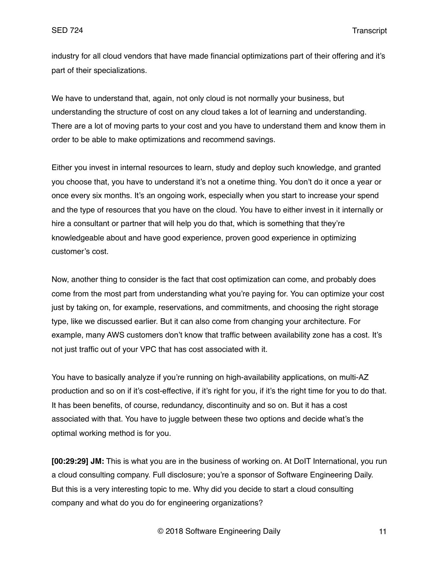industry for all cloud vendors that have made financial optimizations part of their offering and it's part of their specializations.

We have to understand that, again, not only cloud is not normally your business, but understanding the structure of cost on any cloud takes a lot of learning and understanding. There are a lot of moving parts to your cost and you have to understand them and know them in order to be able to make optimizations and recommend savings.

Either you invest in internal resources to learn, study and deploy such knowledge, and granted you choose that, you have to understand it's not a onetime thing. You don't do it once a year or once every six months. It's an ongoing work, especially when you start to increase your spend and the type of resources that you have on the cloud. You have to either invest in it internally or hire a consultant or partner that will help you do that, which is something that they're knowledgeable about and have good experience, proven good experience in optimizing customer's cost.

Now, another thing to consider is the fact that cost optimization can come, and probably does come from the most part from understanding what you're paying for. You can optimize your cost just by taking on, for example, reservations, and commitments, and choosing the right storage type, like we discussed earlier. But it can also come from changing your architecture. For example, many AWS customers don't know that traffic between availability zone has a cost. It's not just traffic out of your VPC that has cost associated with it.

You have to basically analyze if you're running on high-availability applications, on multi-AZ production and so on if it's cost-effective, if it's right for you, if it's the right time for you to do that. It has been benefits, of course, redundancy, discontinuity and so on. But it has a cost associated with that. You have to juggle between these two options and decide what's the optimal working method is for you.

**[00:29:29] JM:** This is what you are in the business of working on. At DoIT International, you run a cloud consulting company. Full disclosure; you're a sponsor of Software Engineering Daily. But this is a very interesting topic to me. Why did you decide to start a cloud consulting company and what do you do for engineering organizations?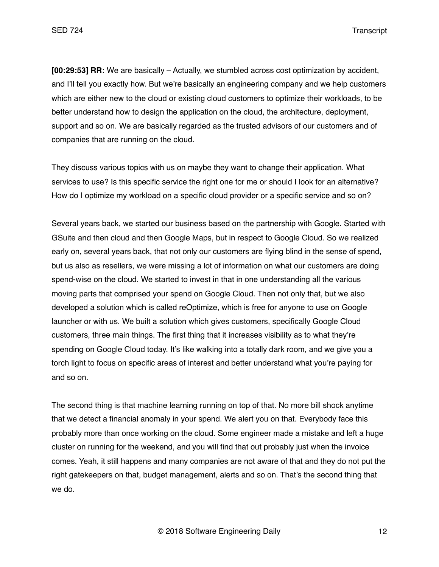**[00:29:53] RR:** We are basically – Actually, we stumbled across cost optimization by accident, and I'll tell you exactly how. But we're basically an engineering company and we help customers which are either new to the cloud or existing cloud customers to optimize their workloads, to be better understand how to design the application on the cloud, the architecture, deployment, support and so on. We are basically regarded as the trusted advisors of our customers and of companies that are running on the cloud.

They discuss various topics with us on maybe they want to change their application. What services to use? Is this specific service the right one for me or should I look for an alternative? How do I optimize my workload on a specific cloud provider or a specific service and so on?

Several years back, we started our business based on the partnership with Google. Started with GSuite and then cloud and then Google Maps, but in respect to Google Cloud. So we realized early on, several years back, that not only our customers are flying blind in the sense of spend, but us also as resellers, we were missing a lot of information on what our customers are doing spend-wise on the cloud. We started to invest in that in one understanding all the various moving parts that comprised your spend on Google Cloud. Then not only that, but we also developed a solution which is called reOptimize, which is free for anyone to use on Google launcher or with us. We built a solution which gives customers, specifically Google Cloud customers, three main things. The first thing that it increases visibility as to what they're spending on Google Cloud today. It's like walking into a totally dark room, and we give you a torch light to focus on specific areas of interest and better understand what you're paying for and so on.

The second thing is that machine learning running on top of that. No more bill shock anytime that we detect a financial anomaly in your spend. We alert you on that. Everybody face this probably more than once working on the cloud. Some engineer made a mistake and left a huge cluster on running for the weekend, and you will find that out probably just when the invoice comes. Yeah, it still happens and many companies are not aware of that and they do not put the right gatekeepers on that, budget management, alerts and so on. That's the second thing that we do.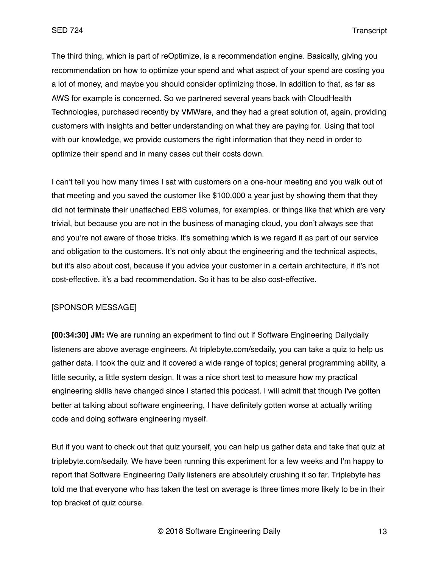The third thing, which is part of reOptimize, is a recommendation engine. Basically, giving you recommendation on how to optimize your spend and what aspect of your spend are costing you a lot of money, and maybe you should consider optimizing those. In addition to that, as far as AWS for example is concerned. So we partnered several years back with CloudHealth Technologies, purchased recently by VMWare, and they had a great solution of, again, providing customers with insights and better understanding on what they are paying for. Using that tool with our knowledge, we provide customers the right information that they need in order to optimize their spend and in many cases cut their costs down.

I can't tell you how many times I sat with customers on a one-hour meeting and you walk out of that meeting and you saved the customer like \$100,000 a year just by showing them that they did not terminate their unattached EBS volumes, for examples, or things like that which are very trivial, but because you are not in the business of managing cloud, you don't always see that and you're not aware of those tricks. It's something which is we regard it as part of our service and obligation to the customers. It's not only about the engineering and the technical aspects, but it's also about cost, because if you advice your customer in a certain architecture, if it's not cost-effective, it's a bad recommendation. So it has to be also cost-effective.

#### [SPONSOR MESSAGE]

**[00:34:30] JM:** We are running an experiment to find out if Software Engineering Dailydaily listeners are above average engineers. At triplebyte.com/sedaily, you can take a quiz to help us gather data. I took the quiz and it covered a wide range of topics; general programming ability, a little security, a little system design. It was a nice short test to measure how my practical engineering skills have changed since I started this podcast. I will admit that though I've gotten better at talking about software engineering, I have definitely gotten worse at actually writing code and doing software engineering myself.

But if you want to check out that quiz yourself, you can help us gather data and take that quiz at triplebyte.com/sedaily. We have been running this experiment for a few weeks and I'm happy to report that Software Engineering Daily listeners are absolutely crushing it so far. Triplebyte has told me that everyone who has taken the test on average is three times more likely to be in their top bracket of quiz course.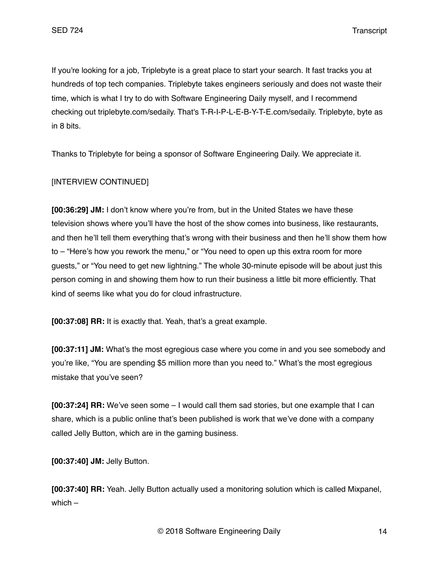If you're looking for a job, Triplebyte is a great place to start your search. It fast tracks you at hundreds of top tech companies. Triplebyte takes engineers seriously and does not waste their time, which is what I try to do with Software Engineering Daily myself, and I recommend checking out triplebyte.com/sedaily. That's T-R-I-P-L-E-B-Y-T-E.com/sedaily. Triplebyte, byte as in 8 bits.

Thanks to Triplebyte for being a sponsor of Software Engineering Daily. We appreciate it.

## [INTERVIEW CONTINUED]

**[00:36:29] JM:** I don't know where you're from, but in the United States we have these television shows where you'll have the host of the show comes into business, like restaurants, and then he'll tell them everything that's wrong with their business and then he'll show them how to – "Here's how you rework the menu," or "You need to open up this extra room for more guests," or "You need to get new lightning." The whole 30-minute episode will be about just this person coming in and showing them how to run their business a little bit more efficiently. That kind of seems like what you do for cloud infrastructure.

**[00:37:08] RR:** It is exactly that. Yeah, that's a great example.

**[00:37:11] JM:** What's the most egregious case where you come in and you see somebody and you're like, "You are spending \$5 million more than you need to." What's the most egregious mistake that you've seen?

**[00:37:24] RR:** We've seen some – I would call them sad stories, but one example that I can share, which is a public online that's been published is work that we've done with a company called Jelly Button, which are in the gaming business.

**[00:37:40] JM:** Jelly Button.

**[00:37:40] RR:** Yeah. Jelly Button actually used a monitoring solution which is called Mixpanel, which –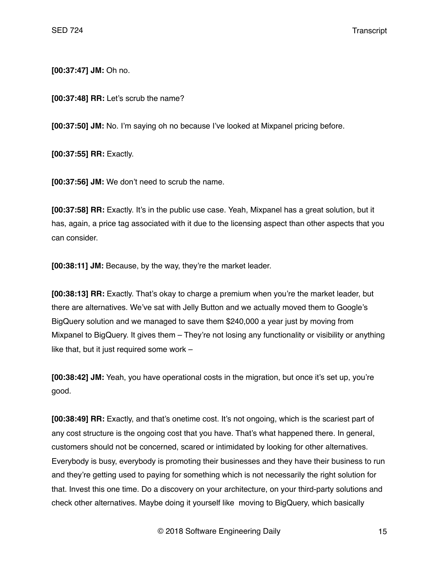**[00:37:47] JM:** Oh no.

**[00:37:48] RR:** Let's scrub the name?

**[00:37:50] JM:** No. I'm saying oh no because I've looked at Mixpanel pricing before.

**[00:37:55] RR:** Exactly.

**[00:37:56] JM:** We don't need to scrub the name.

**[00:37:58] RR:** Exactly. It's in the public use case. Yeah, Mixpanel has a great solution, but it has, again, a price tag associated with it due to the licensing aspect than other aspects that you can consider.

**[00:38:11] JM:** Because, by the way, they're the market leader.

**[00:38:13] RR:** Exactly. That's okay to charge a premium when you're the market leader, but there are alternatives. We've sat with Jelly Button and we actually moved them to Google's BigQuery solution and we managed to save them \$240,000 a year just by moving from Mixpanel to BigQuery. It gives them – They're not losing any functionality or visibility or anything like that, but it just required some work –

**[00:38:42] JM:** Yeah, you have operational costs in the migration, but once it's set up, you're good.

**[00:38:49] RR:** Exactly, and that's onetime cost. It's not ongoing, which is the scariest part of any cost structure is the ongoing cost that you have. That's what happened there. In general, customers should not be concerned, scared or intimidated by looking for other alternatives. Everybody is busy, everybody is promoting their businesses and they have their business to run and they're getting used to paying for something which is not necessarily the right solution for that. Invest this one time. Do a discovery on your architecture, on your third-party solutions and check other alternatives. Maybe doing it yourself like moving to BigQuery, which basically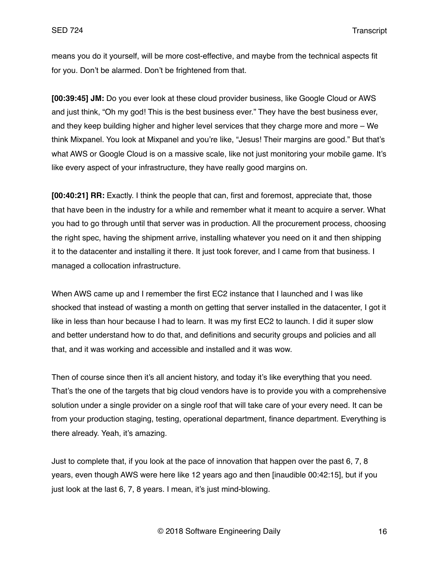means you do it yourself, will be more cost-effective, and maybe from the technical aspects fit for you. Don't be alarmed. Don't be frightened from that.

**[00:39:45] JM:** Do you ever look at these cloud provider business, like Google Cloud or AWS and just think, "Oh my god! This is the best business ever." They have the best business ever, and they keep building higher and higher level services that they charge more and more – We think Mixpanel. You look at Mixpanel and you're like, "Jesus! Their margins are good." But that's what AWS or Google Cloud is on a massive scale, like not just monitoring your mobile game. It's like every aspect of your infrastructure, they have really good margins on.

**[00:40:21] RR:** Exactly. I think the people that can, first and foremost, appreciate that, those that have been in the industry for a while and remember what it meant to acquire a server. What you had to go through until that server was in production. All the procurement process, choosing the right spec, having the shipment arrive, installing whatever you need on it and then shipping it to the datacenter and installing it there. It just took forever, and I came from that business. I managed a collocation infrastructure.

When AWS came up and I remember the first EC2 instance that I launched and I was like shocked that instead of wasting a month on getting that server installed in the datacenter, I got it like in less than hour because I had to learn. It was my first EC2 to launch. I did it super slow and better understand how to do that, and definitions and security groups and policies and all that, and it was working and accessible and installed and it was wow.

Then of course since then it's all ancient history, and today it's like everything that you need. That's the one of the targets that big cloud vendors have is to provide you with a comprehensive solution under a single provider on a single roof that will take care of your every need. It can be from your production staging, testing, operational department, finance department. Everything is there already. Yeah, it's amazing.

Just to complete that, if you look at the pace of innovation that happen over the past 6, 7, 8 years, even though AWS were here like 12 years ago and then [inaudible 00:42:15], but if you just look at the last 6, 7, 8 years. I mean, it's just mind-blowing.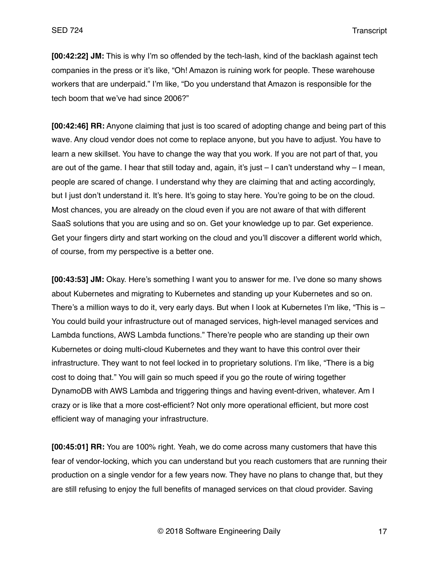**[00:42:22] JM:** This is why I'm so offended by the tech-lash, kind of the backlash against tech companies in the press or it's like, "Oh! Amazon is ruining work for people. These warehouse workers that are underpaid." I'm like, "Do you understand that Amazon is responsible for the tech boom that we've had since 2006?"

**[00:42:46] RR:** Anyone claiming that just is too scared of adopting change and being part of this wave. Any cloud vendor does not come to replace anyone, but you have to adjust. You have to learn a new skillset. You have to change the way that you work. If you are not part of that, you are out of the game. I hear that still today and, again, it's just – I can't understand why – I mean, people are scared of change. I understand why they are claiming that and acting accordingly, but I just don't understand it. It's here. It's going to stay here. You're going to be on the cloud. Most chances, you are already on the cloud even if you are not aware of that with different SaaS solutions that you are using and so on. Get your knowledge up to par. Get experience. Get your fingers dirty and start working on the cloud and you'll discover a different world which, of course, from my perspective is a better one.

**[00:43:53] JM:** Okay. Here's something I want you to answer for me. I've done so many shows about Kubernetes and migrating to Kubernetes and standing up your Kubernetes and so on. There's a million ways to do it, very early days. But when I look at Kubernetes I'm like, "This is – You could build your infrastructure out of managed services, high-level managed services and Lambda functions, AWS Lambda functions." There're people who are standing up their own Kubernetes or doing multi-cloud Kubernetes and they want to have this control over their infrastructure. They want to not feel locked in to proprietary solutions. I'm like, "There is a big cost to doing that." You will gain so much speed if you go the route of wiring together DynamoDB with AWS Lambda and triggering things and having event-driven, whatever. Am I crazy or is like that a more cost-efficient? Not only more operational efficient, but more cost efficient way of managing your infrastructure.

**[00:45:01] RR:** You are 100% right. Yeah, we do come across many customers that have this fear of vendor-locking, which you can understand but you reach customers that are running their production on a single vendor for a few years now. They have no plans to change that, but they are still refusing to enjoy the full benefits of managed services on that cloud provider. Saving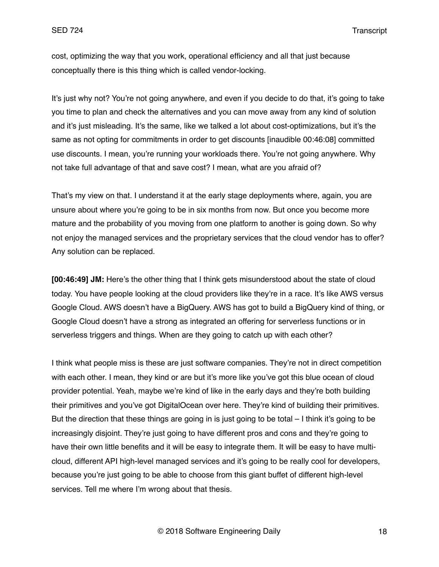cost, optimizing the way that you work, operational efficiency and all that just because conceptually there is this thing which is called vendor-locking.

It's just why not? You're not going anywhere, and even if you decide to do that, it's going to take you time to plan and check the alternatives and you can move away from any kind of solution and it's just misleading. It's the same, like we talked a lot about cost-optimizations, but it's the same as not opting for commitments in order to get discounts [inaudible 00:46:08] committed use discounts. I mean, you're running your workloads there. You're not going anywhere. Why not take full advantage of that and save cost? I mean, what are you afraid of?

That's my view on that. I understand it at the early stage deployments where, again, you are unsure about where you're going to be in six months from now. But once you become more mature and the probability of you moving from one platform to another is going down. So why not enjoy the managed services and the proprietary services that the cloud vendor has to offer? Any solution can be replaced.

**[00:46:49] JM:** Here's the other thing that I think gets misunderstood about the state of cloud today. You have people looking at the cloud providers like they're in a race. It's like AWS versus Google Cloud. AWS doesn't have a BigQuery. AWS has got to build a BigQuery kind of thing, or Google Cloud doesn't have a strong as integrated an offering for serverless functions or in serverless triggers and things. When are they going to catch up with each other?

I think what people miss is these are just software companies. They're not in direct competition with each other. I mean, they kind or are but it's more like you've got this blue ocean of cloud provider potential. Yeah, maybe we're kind of like in the early days and they're both building their primitives and you've got DigitalOcean over here. They're kind of building their primitives. But the direction that these things are going in is just going to be total – I think it's going to be increasingly disjoint. They're just going to have different pros and cons and they're going to have their own little benefits and it will be easy to integrate them. It will be easy to have multicloud, different API high-level managed services and it's going to be really cool for developers, because you're just going to be able to choose from this giant buffet of different high-level services. Tell me where I'm wrong about that thesis.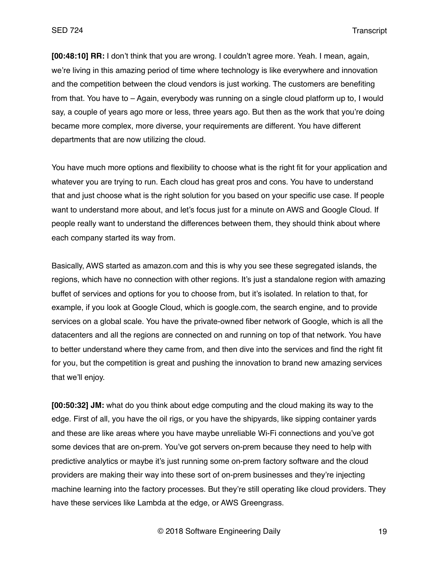**[00:48:10] RR:** I don't think that you are wrong. I couldn't agree more. Yeah. I mean, again, we're living in this amazing period of time where technology is like everywhere and innovation and the competition between the cloud vendors is just working. The customers are benefiting from that. You have to – Again, everybody was running on a single cloud platform up to, I would say, a couple of years ago more or less, three years ago. But then as the work that you're doing became more complex, more diverse, your requirements are different. You have different departments that are now utilizing the cloud.

You have much more options and flexibility to choose what is the right fit for your application and whatever you are trying to run. Each cloud has great pros and cons. You have to understand that and just choose what is the right solution for you based on your specific use case. If people want to understand more about, and let's focus just for a minute on AWS and Google Cloud. If people really want to understand the differences between them, they should think about where each company started its way from.

Basically, AWS started as amazon.com and this is why you see these segregated islands, the regions, which have no connection with other regions. It's just a standalone region with amazing buffet of services and options for you to choose from, but it's isolated. In relation to that, for example, if you look at Google Cloud, which is google.com, the search engine, and to provide services on a global scale. You have the private-owned fiber network of Google, which is all the datacenters and all the regions are connected on and running on top of that network. You have to better understand where they came from, and then dive into the services and find the right fit for you, but the competition is great and pushing the innovation to brand new amazing services that we'll enjoy.

**[00:50:32] JM:** what do you think about edge computing and the cloud making its way to the edge. First of all, you have the oil rigs, or you have the shipyards, like sipping container yards and these are like areas where you have maybe unreliable Wi-Fi connections and you've got some devices that are on-prem. You've got servers on-prem because they need to help with predictive analytics or maybe it's just running some on-prem factory software and the cloud providers are making their way into these sort of on-prem businesses and they're injecting machine learning into the factory processes. But they're still operating like cloud providers. They have these services like Lambda at the edge, or AWS Greengrass.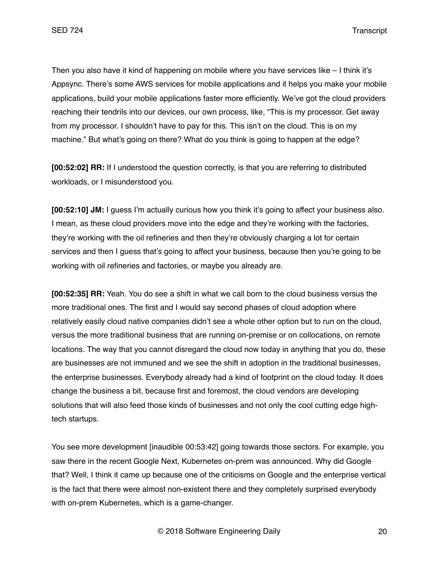Then you also have it kind of happening on mobile where you have services like – I think it's Appsync. There's some AWS services for mobile applications and it helps you make your mobile applications, build your mobile applications faster more efficiently. We've got the cloud providers reaching their tendrils into our devices, our own process, like, "This is my processor. Get away from my processor. I shouldn't have to pay for this. This isn't on the cloud. This is on my machine." But what's going on there? What do you think is going to happen at the edge?

**[00:52:02] RR:** If I understood the question correctly, is that you are referring to distributed workloads, or I misunderstood you.

**[00:52:10] JM:** I guess I'm actually curious how you think it's going to affect your business also. I mean, as these cloud providers move into the edge and they're working with the factories, they're working with the oil refineries and then they're obviously charging a lot for certain services and then I guess that's going to affect your business, because then you're going to be working with oil refineries and factories, or maybe you already are.

**[00:52:35] RR:** Yeah. You do see a shift in what we call born to the cloud business versus the more traditional ones. The first and I would say second phases of cloud adoption where relatively easily cloud native companies didn't see a whole other option but to run on the cloud, versus the more traditional business that are running on-premise or on collocations, on remote locations. The way that you cannot disregard the cloud now today in anything that you do, these are businesses are not immuned and we see the shift in adoption in the traditional businesses, the enterprise businesses. Everybody already had a kind of footprint on the cloud today. It does change the business a bit, because first and foremost, the cloud vendors are developing solutions that will also feed those kinds of businesses and not only the cool cutting edge hightech startups.

You see more development [inaudible 00:53:42] going towards those sectors. For example, you saw there in the recent Google Next, Kubernetes on-prem was announced. Why did Google that? Well, I think it came up because one of the criticisms on Google and the enterprise vertical is the fact that there were almost non-existent there and they completely surprised everybody with on-prem Kubernetes, which is a game-changer.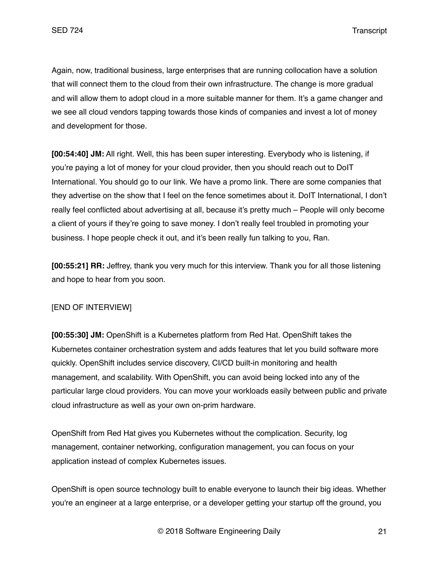Again, now, traditional business, large enterprises that are running collocation have a solution that will connect them to the cloud from their own infrastructure. The change is more gradual and will allow them to adopt cloud in a more suitable manner for them. It's a game changer and we see all cloud vendors tapping towards those kinds of companies and invest a lot of money and development for those.

**[00:54:40] JM:** All right. Well, this has been super interesting. Everybody who is listening, if you're paying a lot of money for your cloud provider, then you should reach out to DoIT International. You should go to our link. We have a promo link. There are some companies that they advertise on the show that I feel on the fence sometimes about it. DoIT International, I don't really feel conflicted about advertising at all, because it's pretty much – People will only become a client of yours if they're going to save money. I don't really feel troubled in promoting your business. I hope people check it out, and it's been really fun talking to you, Ran.

**[00:55:21] RR:** Jeffrey, thank you very much for this interview. Thank you for all those listening and hope to hear from you soon.

# [END OF INTERVIEW]

**[00:55:30] JM:** OpenShift is a Kubernetes platform from Red Hat. OpenShift takes the Kubernetes container orchestration system and adds features that let you build software more quickly. OpenShift includes service discovery, CI/CD built-in monitoring and health management, and scalability. With OpenShift, you can avoid being locked into any of the particular large cloud providers. You can move your workloads easily between public and private cloud infrastructure as well as your own on-prim hardware.

OpenShift from Red Hat gives you Kubernetes without the complication. Security, log management, container networking, configuration management, you can focus on your application instead of complex Kubernetes issues.

OpenShift is open source technology built to enable everyone to launch their big ideas. Whether you're an engineer at a large enterprise, or a developer getting your startup off the ground, you

© 2018 Software Engineering Daily 21